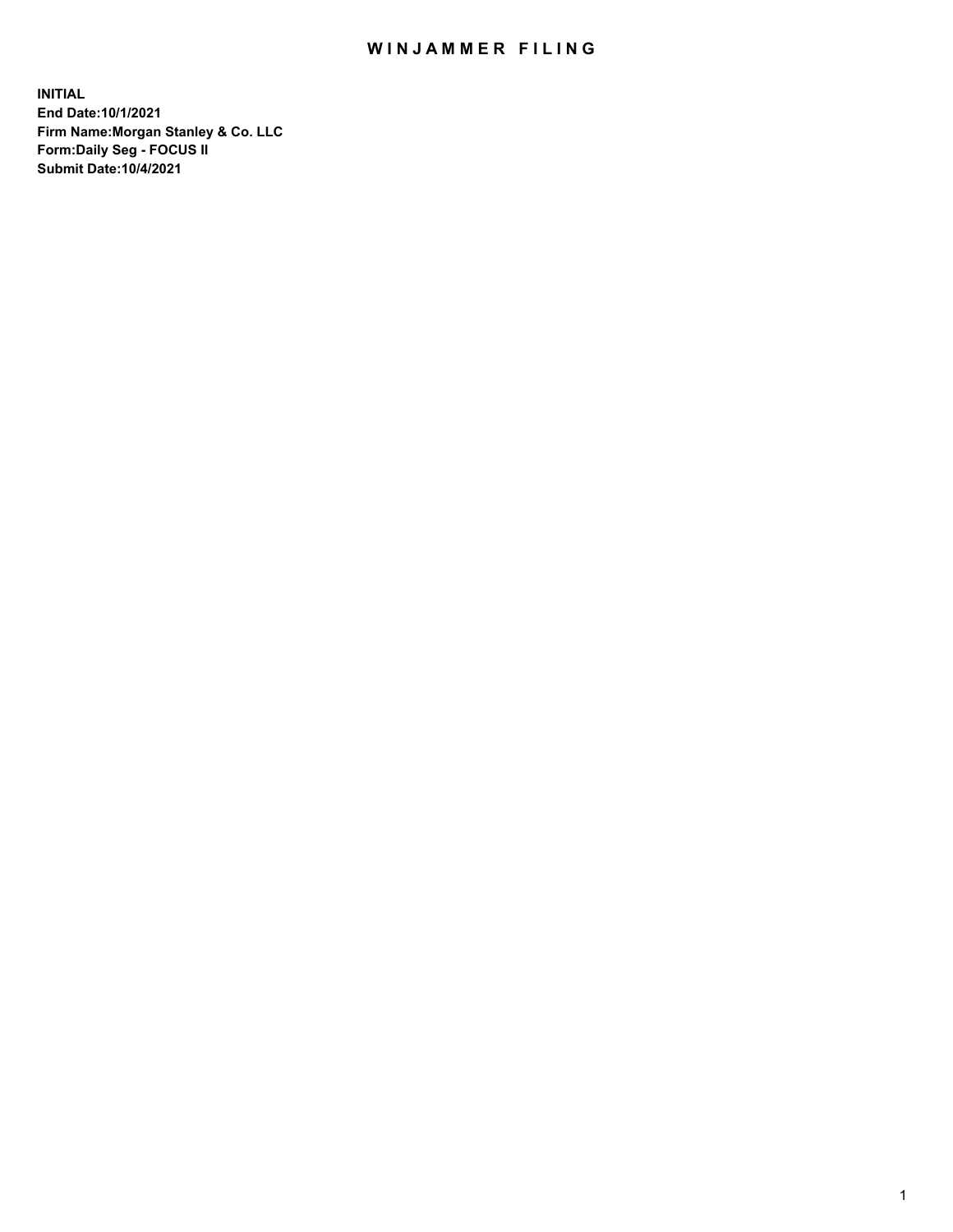## WIN JAMMER FILING

**INITIAL End Date:10/1/2021 Firm Name:Morgan Stanley & Co. LLC Form:Daily Seg - FOCUS II Submit Date:10/4/2021**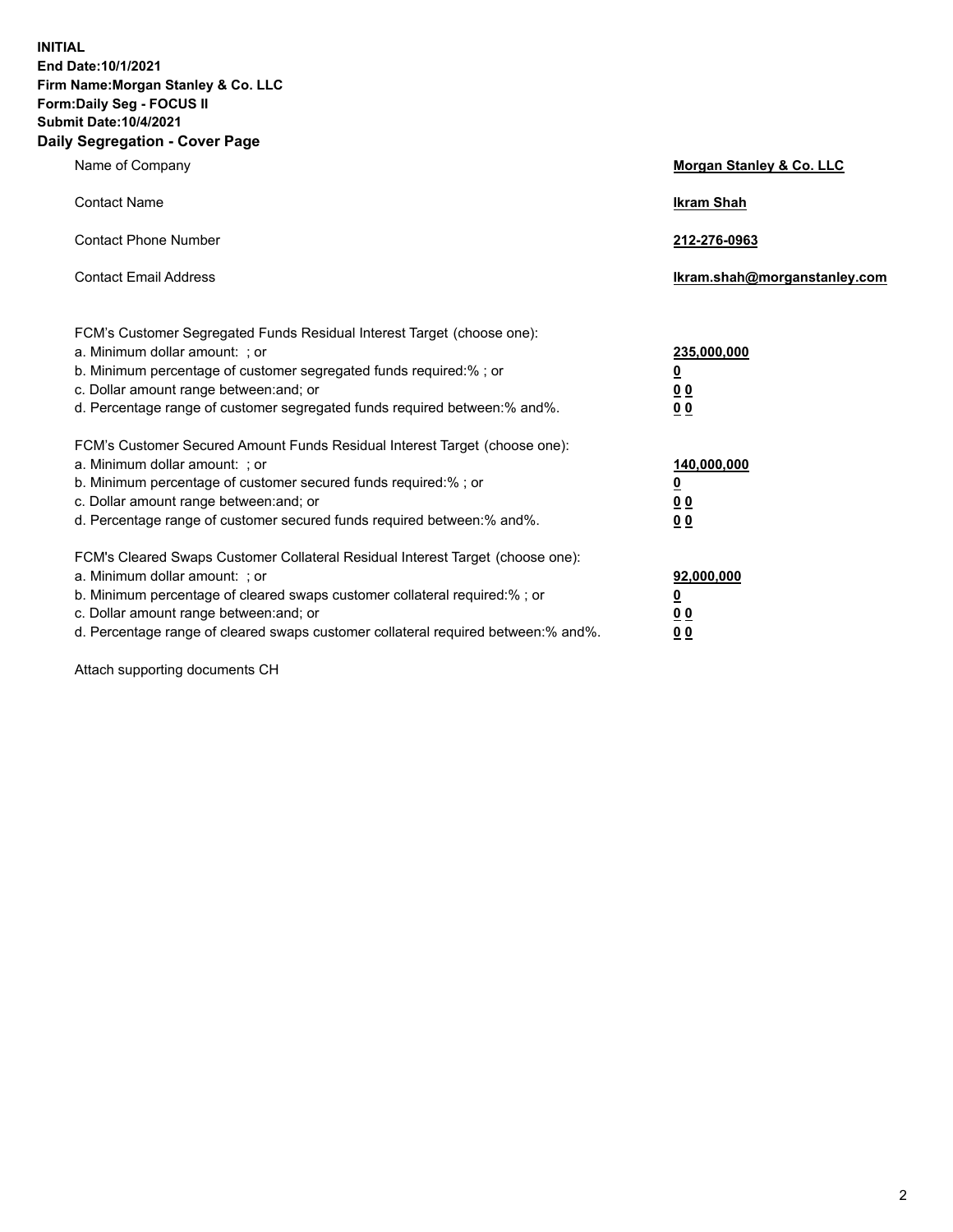**INITIAL End Date:10/1/2021 Firm Name:Morgan Stanley & Co. LLC Form:Daily Seg - FOCUS II Submit Date:10/4/2021 Daily Segregation - Cover Page**

| Name of Company                                                                                                                                                                                                                                                                                                                | <b>Morgan Stanley &amp; Co. LLC</b>                    |
|--------------------------------------------------------------------------------------------------------------------------------------------------------------------------------------------------------------------------------------------------------------------------------------------------------------------------------|--------------------------------------------------------|
| <b>Contact Name</b>                                                                                                                                                                                                                                                                                                            | <b>Ikram Shah</b>                                      |
| <b>Contact Phone Number</b>                                                                                                                                                                                                                                                                                                    | 212-276-0963                                           |
| <b>Contact Email Address</b>                                                                                                                                                                                                                                                                                                   | Ikram.shah@morganstanley.com                           |
| FCM's Customer Segregated Funds Residual Interest Target (choose one):<br>a. Minimum dollar amount: ; or<br>b. Minimum percentage of customer segregated funds required:% ; or<br>c. Dollar amount range between: and; or<br>d. Percentage range of customer segregated funds required between:% and%.                         | 235,000,000<br><u>0</u><br><u>00</u><br>0 Q            |
| FCM's Customer Secured Amount Funds Residual Interest Target (choose one):<br>a. Minimum dollar amount: ; or<br>b. Minimum percentage of customer secured funds required:%; or<br>c. Dollar amount range between: and; or<br>d. Percentage range of customer secured funds required between: % and %.                          | 140,000,000<br><u>0</u><br><u>00</u><br>0 <sub>0</sub> |
| FCM's Cleared Swaps Customer Collateral Residual Interest Target (choose one):<br>a. Minimum dollar amount: ; or<br>b. Minimum percentage of cleared swaps customer collateral required:% ; or<br>c. Dollar amount range between: and; or<br>d. Percentage range of cleared swaps customer collateral required between:% and%. | 92,000,000<br><u>0</u><br><u>00</u><br>0 <sub>0</sub>  |

Attach supporting documents CH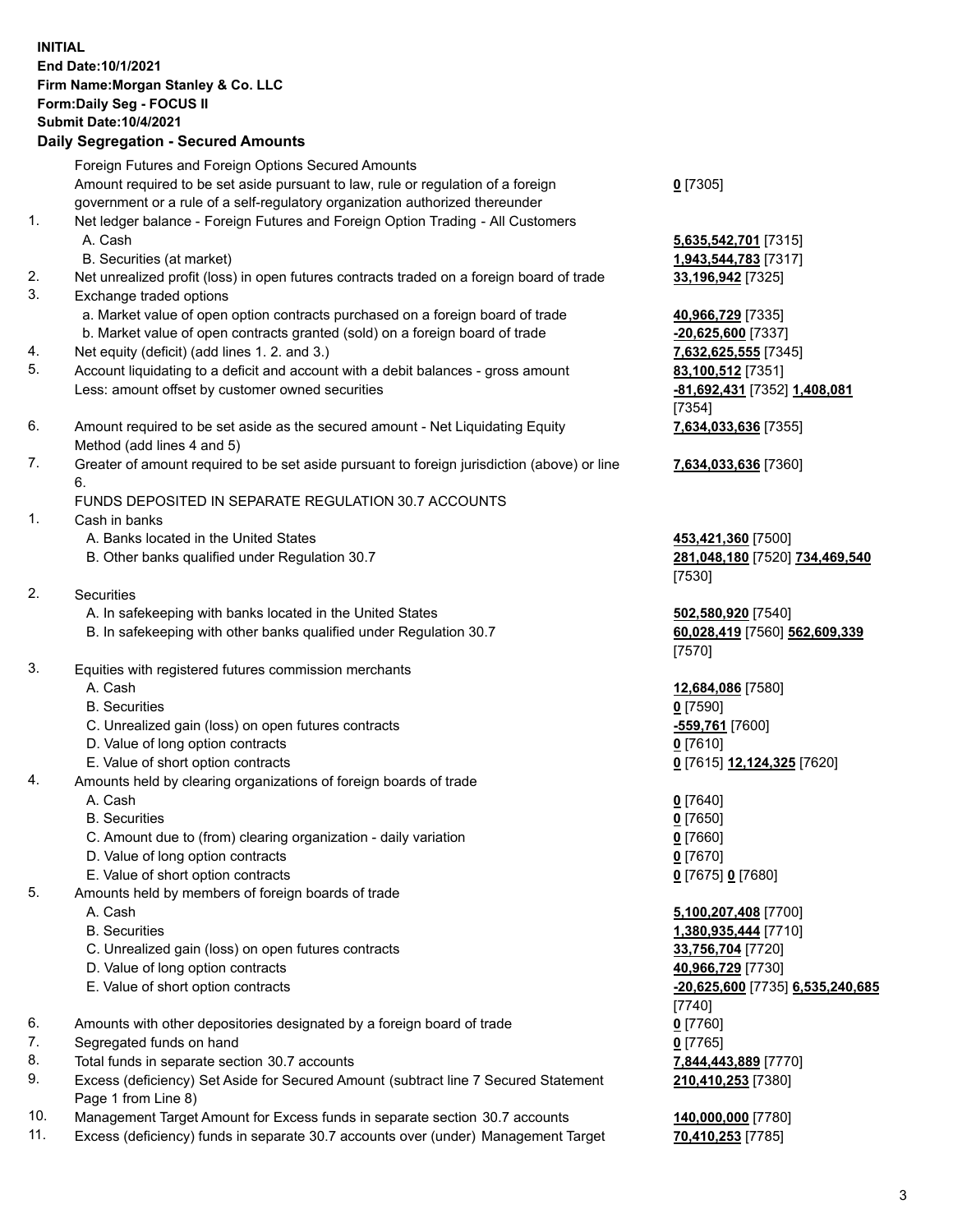## **INITIAL End Date:10/1/2021 Firm Name:Morgan Stanley & Co. LLC Form:Daily Seg - FOCUS II Submit Date:10/4/2021**

**Daily Segregation - Secured Amounts** Foreign Futures and Foreign Options Secured Amounts Amount required to be set aside pursuant to law, rule or regulation of a foreign government or a rule of a self-regulatory organization authorized thereunder 1. Net ledger balance - Foreign Futures and Foreign Option Trading - All Customers A. Cash **5,635,542,701** [7315] B. Securities (at market) **1,943,544,783** [7317] 2. Net unrealized profit (loss) in open futures contracts traded on a foreign board of trade **33,196,942** [7325] 3. Exchange traded options a. Market value of open option contracts purchased on a foreign board of trade **40,966,729** [7335] b. Market value of open contracts granted (sold) on a foreign board of trade **-20,625,600** [7337] 4. Net equity (deficit) (add lines 1. 2. and 3.) **7,632,625,555** [7345] 5. Account liquidating to a deficit and account with a debit balances - gross amount **83,100,512** [7351] Less: amount offset by customer owned securities **-81,692,431** [7352] **1,408,081** 6. Amount required to be set aside as the secured amount - Net Liquidating Equity Method (add lines 4 and 5) 7. Greater of amount required to be set aside pursuant to foreign jurisdiction (above) or line 6. FUNDS DEPOSITED IN SEPARATE REGULATION 30.7 ACCOUNTS 1. Cash in banks A. Banks located in the United States **453,421,360** [7500] B. Other banks qualified under Regulation 30.7 **281,048,180** [7520] **734,469,540** 2. Securities A. In safekeeping with banks located in the United States **502,580,920** [7540] B. In safekeeping with other banks qualified under Regulation 30.7 **60,028,419** [7560] **562,609,339** 3. Equities with registered futures commission merchants A. Cash **12,684,086** [7580] B. Securities **0** [7590] C. Unrealized gain (loss) on open futures contracts **-559,761** [7600] D. Value of long option contracts **0** [7610] E. Value of short option contracts **0** [7615] **12,124,325** [7620] 4. Amounts held by clearing organizations of foreign boards of trade A. Cash **0** [7640] B. Securities **0** [7650] C. Amount due to (from) clearing organization - daily variation **0** [7660] D. Value of long option contracts **0** [7670] E. Value of short option contracts **0** [7675] **0** [7680] 5. Amounts held by members of foreign boards of trade A. Cash **5,100,207,408** [7700] B. Securities **1,380,935,444** [7710] C. Unrealized gain (loss) on open futures contracts **33,756,704** [7720] D. Value of long option contracts **40,966,729** [7730] E. Value of short option contracts **-20,625,600** [7735] **6,535,240,685**

- 6. Amounts with other depositories designated by a foreign board of trade **0** [7760]
- 7. Segregated funds on hand **0** [7765]
- 8. Total funds in separate section 30.7 accounts **7,844,443,889** [7770]
- 9. Excess (deficiency) Set Aside for Secured Amount (subtract line 7 Secured Statement Page 1 from Line 8)
- 10. Management Target Amount for Excess funds in separate section 30.7 accounts **140,000,000** [7780]
- 11. Excess (deficiency) funds in separate 30.7 accounts over (under) Management Target **70,410,253** [7785]

**0** [7305]

[7354] **7,634,033,636** [7355]

**7,634,033,636** [7360]

[7530]

[7570]

[7740] **210,410,253** [7380]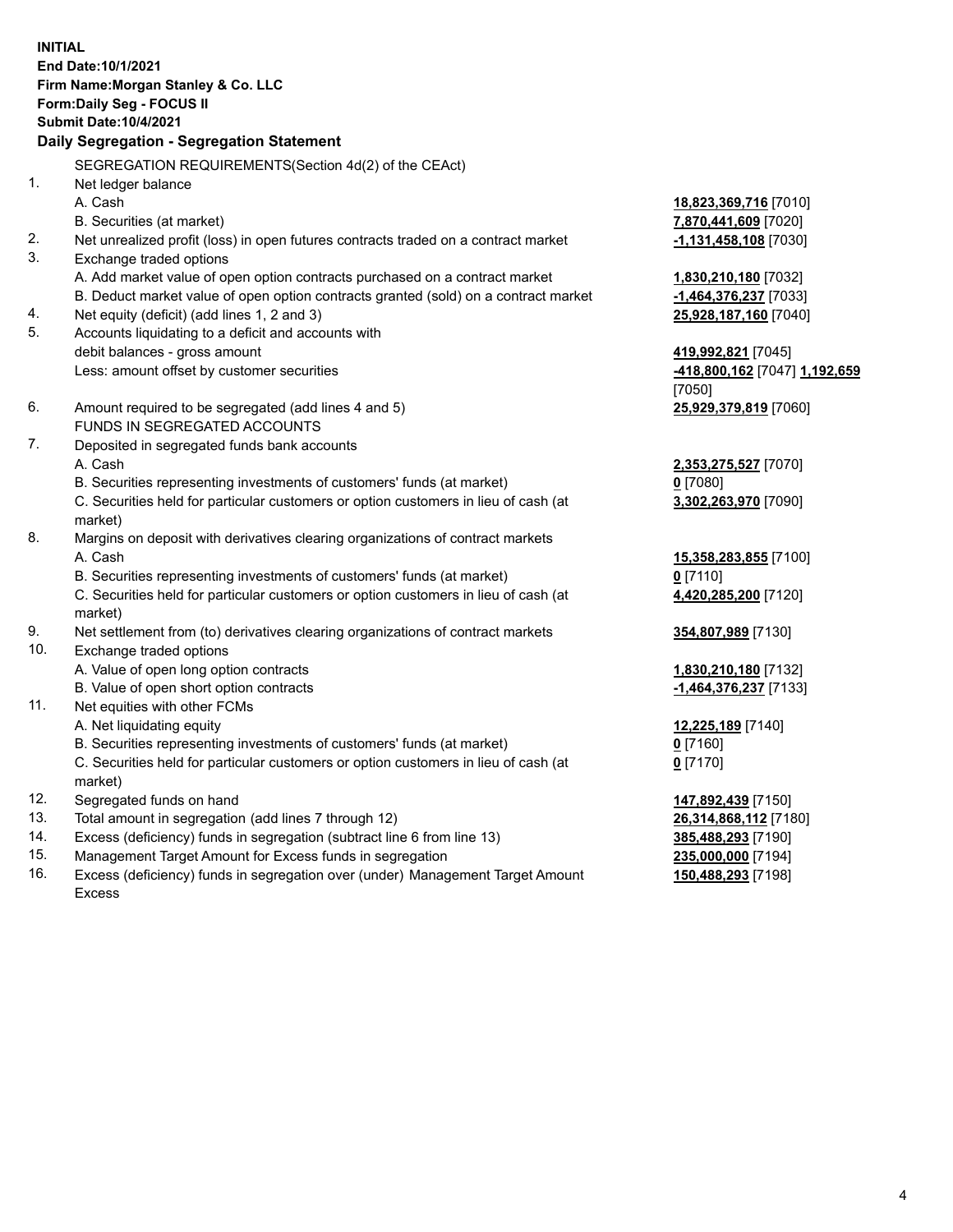**INITIAL End Date:10/1/2021 Firm Name:Morgan Stanley & Co. LLC Form:Daily Seg - FOCUS II Submit Date:10/4/2021 Daily Segregation - Segregation Statement** SEGREGATION REQUIREMENTS(Section 4d(2) of the CEAct) 1. Net ledger balance A. Cash **18,823,369,716** [7010] B. Securities (at market) **7,870,441,609** [7020] 2. Net unrealized profit (loss) in open futures contracts traded on a contract market **-1,131,458,108** [7030] 3. Exchange traded options A. Add market value of open option contracts purchased on a contract market **1,830,210,180** [7032] B. Deduct market value of open option contracts granted (sold) on a contract market **-1,464,376,237** [7033] 4. Net equity (deficit) (add lines 1, 2 and 3) **25,928,187,160** [7040] 5. Accounts liquidating to a deficit and accounts with debit balances - gross amount **419,992,821** [7045] Less: amount offset by customer securities **-418,800,162** [7047] **1,192,659** [7050] 6. Amount required to be segregated (add lines 4 and 5) **25,929,379,819** [7060] FUNDS IN SEGREGATED ACCOUNTS 7. Deposited in segregated funds bank accounts A. Cash **2,353,275,527** [7070] B. Securities representing investments of customers' funds (at market) **0** [7080] C. Securities held for particular customers or option customers in lieu of cash (at market) **3,302,263,970** [7090] 8. Margins on deposit with derivatives clearing organizations of contract markets A. Cash **15,358,283,855** [7100] B. Securities representing investments of customers' funds (at market) **0** [7110] C. Securities held for particular customers or option customers in lieu of cash (at market) **4,420,285,200** [7120] 9. Net settlement from (to) derivatives clearing organizations of contract markets **354,807,989** [7130] 10. Exchange traded options A. Value of open long option contracts **1,830,210,180** [7132] B. Value of open short option contracts **-1,464,376,237** [7133] 11. Net equities with other FCMs A. Net liquidating equity **12,225,189** [7140] B. Securities representing investments of customers' funds (at market) **0** [7160] C. Securities held for particular customers or option customers in lieu of cash (at market) **0** [7170] 12. Segregated funds on hand **147,892,439** [7150] 13. Total amount in segregation (add lines 7 through 12) **26,314,868,112** [7180] 14. Excess (deficiency) funds in segregation (subtract line 6 from line 13) **385,488,293** [7190] 15. Management Target Amount for Excess funds in segregation **235,000,000** [7194]

16. Excess (deficiency) funds in segregation over (under) Management Target Amount Excess

**150,488,293** [7198]